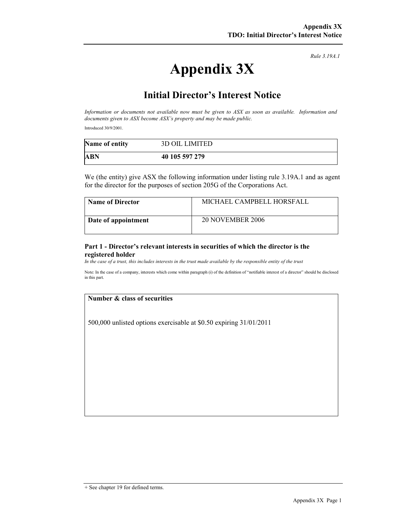Rule 3.19A.1

# Appendix 3X

## Initial Director's Interest Notice

Information or documents not available now must be given to ASX as soon as available. Information and documents given to ASX become ASX's property and may be made public.

Introduced 30/9/2001.

| Name of entity | <b>3D OIL LIMITED</b> |
|----------------|-----------------------|
| ABN            | 40 105 597 279        |

We (the entity) give ASX the following information under listing rule 3.19A.1 and as agent for the director for the purposes of section 205G of the Corporations Act.

| <b>Name of Director</b> | MICHAEL CAMPBELL HORSFALL |
|-------------------------|---------------------------|
| Date of appointment     | <b>20 NOVEMBER 2006</b>   |

#### Part 1 - Director's relevant interests in securities of which the director is the registered holder

In the case of a trust, this includes interests in the trust made available by the responsible entity of the trust

Note: In the case of a company, interests which come within paragraph (i) of the definition of "notifiable interest of a director" should be disclosed in this part.

#### Number & class of securities

500,000 unlisted options exercisable at \$0.50 expiring 31/01/2011

<sup>+</sup> See chapter 19 for defined terms.